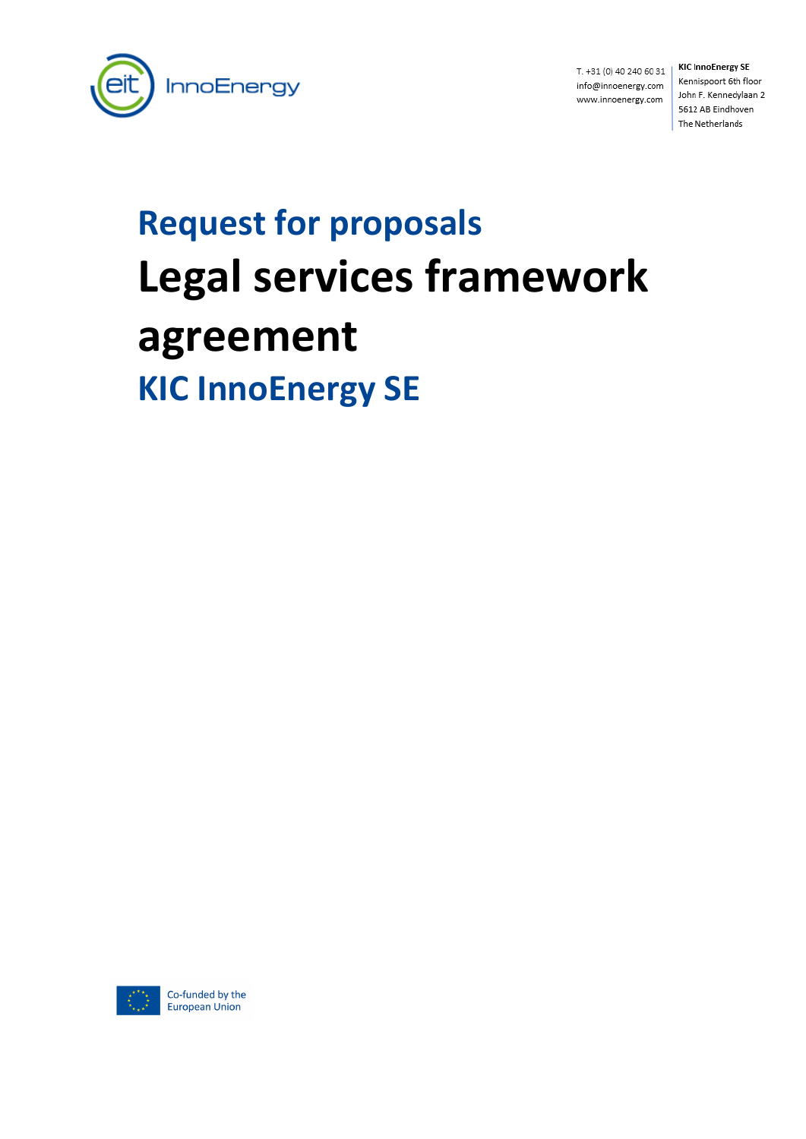

T. +31 (0) 40 240 60 31 info@innoenergy.com www.innoenergy.com

**KIC InnoEnergy SE** Kennispoort 6th floor John F. Kennedylaan 2 5612 AB Eindhoven The Netherlands

# **Request for proposals Legal services framework agreement KIC InnoEnergy SE**

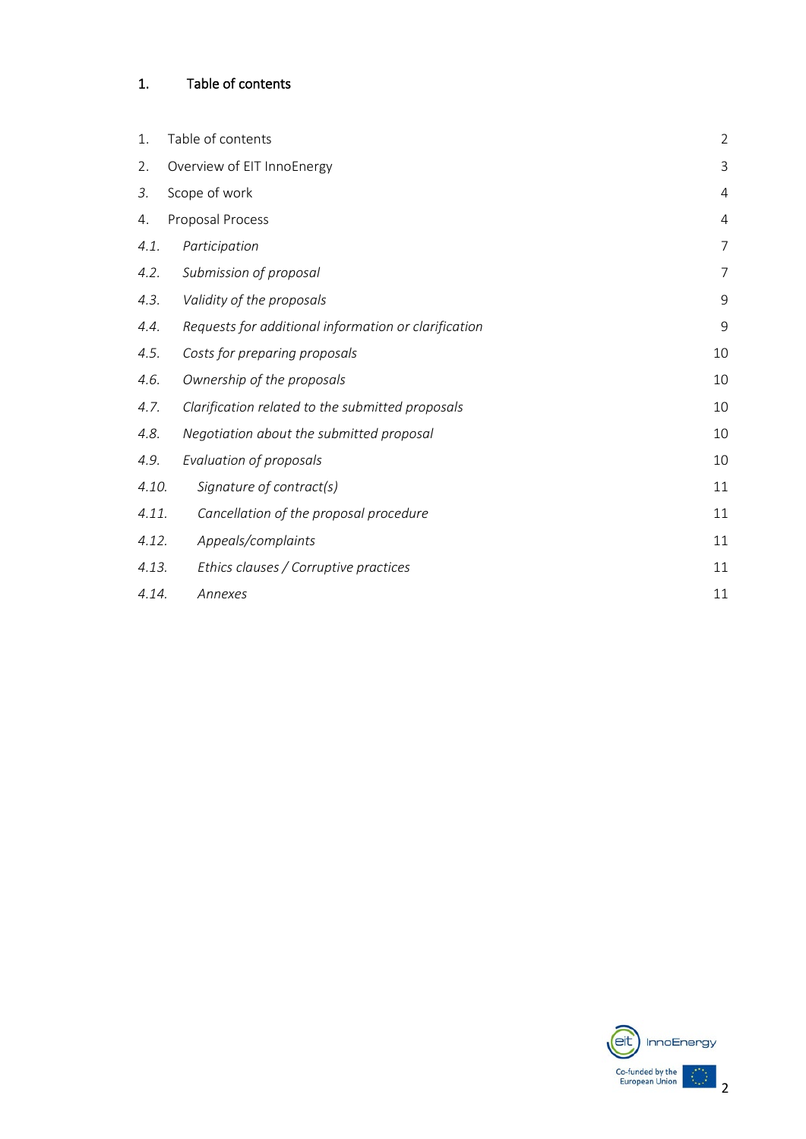# <span id="page-1-0"></span>1. Table of contents

| 1.    | Table of contents                                    | $\overline{2}$ |
|-------|------------------------------------------------------|----------------|
| 2.    | Overview of EIT InnoEnergy                           | 3              |
| 3.    | Scope of work                                        | 4              |
| 4.    | Proposal Process                                     | $\overline{4}$ |
| 4.1.  | Participation                                        | $\overline{7}$ |
| 4.2.  | Submission of proposal                               | 7              |
| 4.3.  | Validity of the proposals                            | 9              |
| 4.4.  | Requests for additional information or clarification | $\mathsf 9$    |
| 4.5.  | Costs for preparing proposals                        | 10             |
| 4.6.  | Ownership of the proposals                           | 10             |
| 4.7.  | Clarification related to the submitted proposals     | 10             |
| 4.8.  | Negotiation about the submitted proposal             | 10             |
| 4.9.  | Evaluation of proposals                              | 10             |
| 4.10. | Signature of contract(s)                             | 11             |
| 4.11. | Cancellation of the proposal procedure               | 11             |
| 4.12. | Appeals/complaints                                   | 11             |
| 4.13. | Ethics clauses / Corruptive practices                | 11             |
| 4.14. | Annexes                                              | 11             |

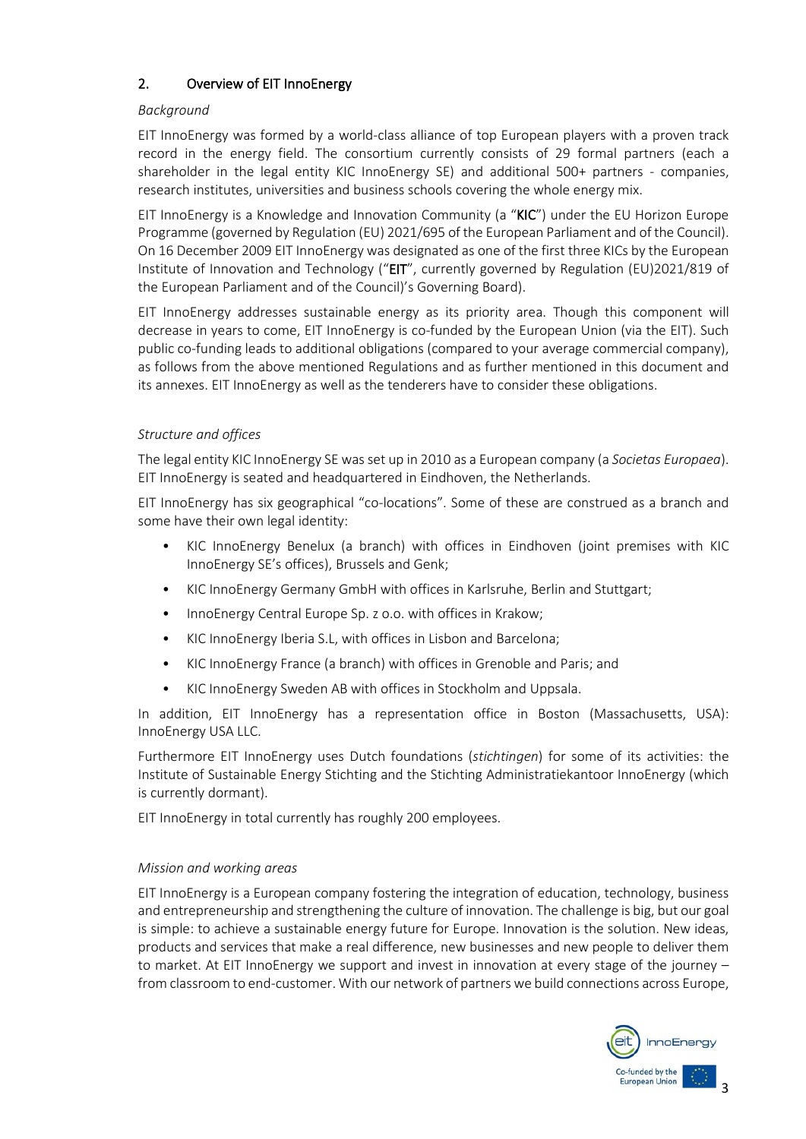## <span id="page-2-0"></span>2. Overview of EIT InnoEnergy

#### *Background*

EIT InnoEnergy was formed by a world-class alliance of top European players with a proven track record in the energy field. The consortium currently consists of 29 formal partners (each a shareholder in the legal entity KIC InnoEnergy SE) and additional 500+ partners - companies, research institutes, universities and business schools covering the whole energy mix.

EIT InnoEnergy is a Knowledge and Innovation Community (a "KIC") under the EU Horizon Europe Programme (governed by Regulation (EU) 2021/695 of the European Parliament and of the Council). On 16 December 2009 EIT InnoEnergy was designated as one of the first three KICs by the European Institute of Innovation and Technology ("EIT", currently governed by Regulation (EU)2021/819 of the European Parliament and of the Council)'s Governing Board).

EIT InnoEnergy addresses sustainable energy as its priority area. Though this component will decrease in years to come, EIT InnoEnergy is co-funded by the European Union (via the EIT). Such public co-funding leads to additional obligations (compared to your average commercial company), as follows from the above mentioned Regulations and as further mentioned in this document and its annexes. EIT InnoEnergy as well as the tenderers have to consider these obligations.

#### *Structure and offices*

The legal entity KIC InnoEnergy SE was set up in 2010 as a European company (a *Societas Europaea*). EIT InnoEnergy is seated and headquartered in Eindhoven, the Netherlands.

EIT InnoEnergy has six geographical "co-locations". Some of these are construed as a branch and some have their own legal identity:

- KIC InnoEnergy Benelux (a branch) with offices in Eindhoven (joint premises with KIC InnoEnergy SE's offices), Brussels and Genk;
- KIC InnoEnergy Germany GmbH with offices in Karlsruhe, Berlin and Stuttgart;
- InnoEnergy Central Europe Sp. z o.o. with offices in Krakow;
- KIC InnoEnergy Iberia S.L, with offices in Lisbon and Barcelona;
- KIC InnoEnergy France (a branch) with offices in Grenoble and Paris; and
- KIC InnoEnergy Sweden AB with offices in Stockholm and Uppsala.

In addition, EIT InnoEnergy has a representation office in Boston (Massachusetts, USA): InnoEnergy USA LLC.

Furthermore EIT InnoEnergy uses Dutch foundations (*stichtingen*) for some of its activities: the Institute of Sustainable Energy Stichting and the Stichting Administratiekantoor InnoEnergy (which is currently dormant).

EIT InnoEnergy in total currently has roughly 200 employees.

#### *Mission and working areas*

EIT InnoEnergy is a European company fostering the integration of education, technology, business and entrepreneurship and strengthening the culture of innovation. The challenge is big, but our goal is simple: to achieve a sustainable energy future for Europe. Innovation is the solution. New ideas, products and services that make a real difference, new businesses and new people to deliver them to market. At EIT InnoEnergy we support and invest in innovation at every stage of the journey – from classroom to end-customer. With our network of partners we build connections across Europe,

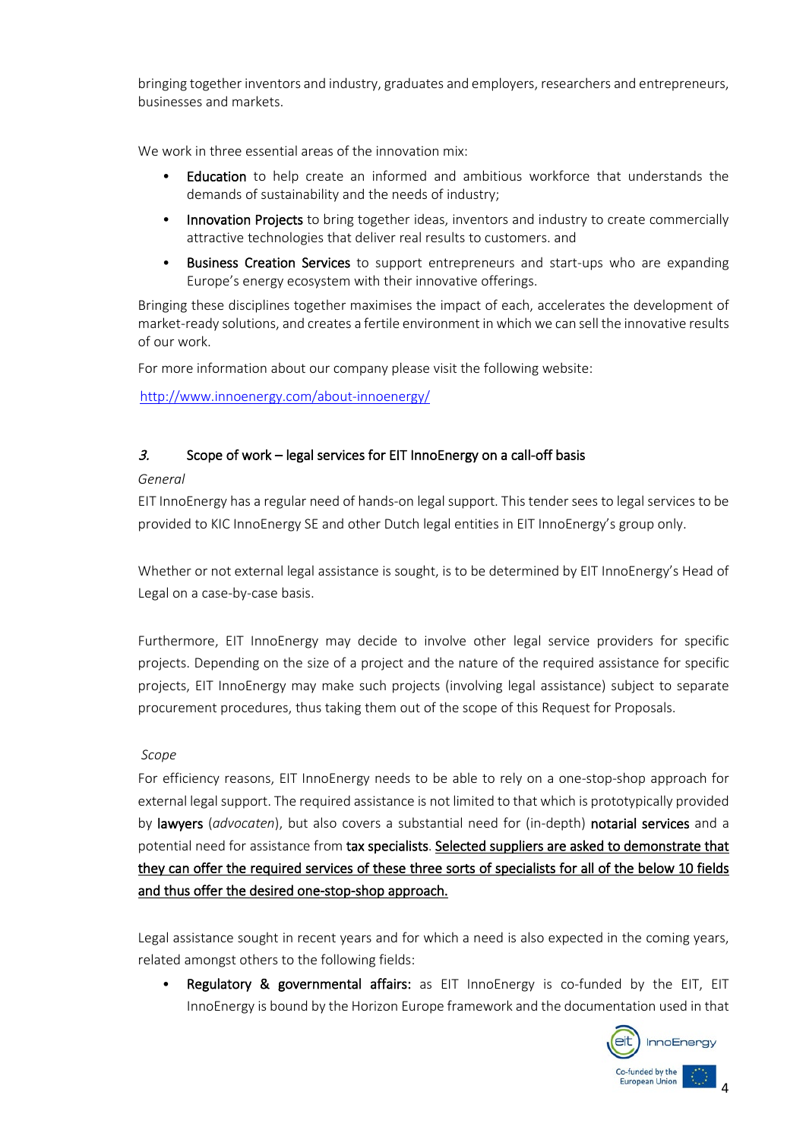bringing together inventors and industry, graduates and employers, researchers and entrepreneurs, businesses and markets.

We work in three essential areas of the innovation mix:

- Education to help create an informed and ambitious workforce that understands the demands of sustainability and the needs of industry;
- Innovation Projects to bring together ideas, inventors and industry to create commercially attractive technologies that deliver real results to customers. and
- Business Creation Services to support entrepreneurs and start-ups who are expanding Europe's energy ecosystem with their innovative offerings.

Bringing these disciplines together maximises the impact of each, accelerates the development of market-ready solutions, and creates a fertile environment in which we can sell the innovative results of our work.

For more information about our company please visit the following website:

<http://www.innoenergy.com/about-innoenergy/>

#### <span id="page-3-0"></span> $3.$  Scope of work – legal services for EIT InnoEnergy on a call-off basis

#### <span id="page-3-1"></span>*General*

EIT InnoEnergy has a regular need of hands-on legal support. This tender sees to legal services to be provided to KIC InnoEnergy SE and other Dutch legal entities in EIT InnoEnergy's group only.

Whether or not external legal assistance is sought, is to be determined by EIT InnoEnergy's Head of Legal on a case-by-case basis.

Furthermore, EIT InnoEnergy may decide to involve other legal service providers for specific projects. Depending on the size of a project and the nature of the required assistance for specific projects, EIT InnoEnergy may make such projects (involving legal assistance) subject to separate procurement procedures, thus taking them out of the scope of this Request for Proposals.

#### *Scope*

For efficiency reasons, EIT InnoEnergy needs to be able to rely on a one-stop-shop approach for external legal support. The required assistance is not limited to that which is prototypically provided by lawyers (*advocaten*), but also covers a substantial need for (in-depth) notarial services and a potential need for assistance from tax specialists. Selected suppliers are asked to demonstrate that they can offer the required services of these three sorts of specialists for all of the below 10 fields and thus offer the desired one-stop-shop approach.

Legal assistance sought in recent years and for which a need is also expected in the coming years, related amongst others to the following fields:

• Regulatory & governmental affairs: as EIT InnoEnergy is co-funded by the EIT, EIT InnoEnergy is bound by the Horizon Europe framework and the documentation used in that

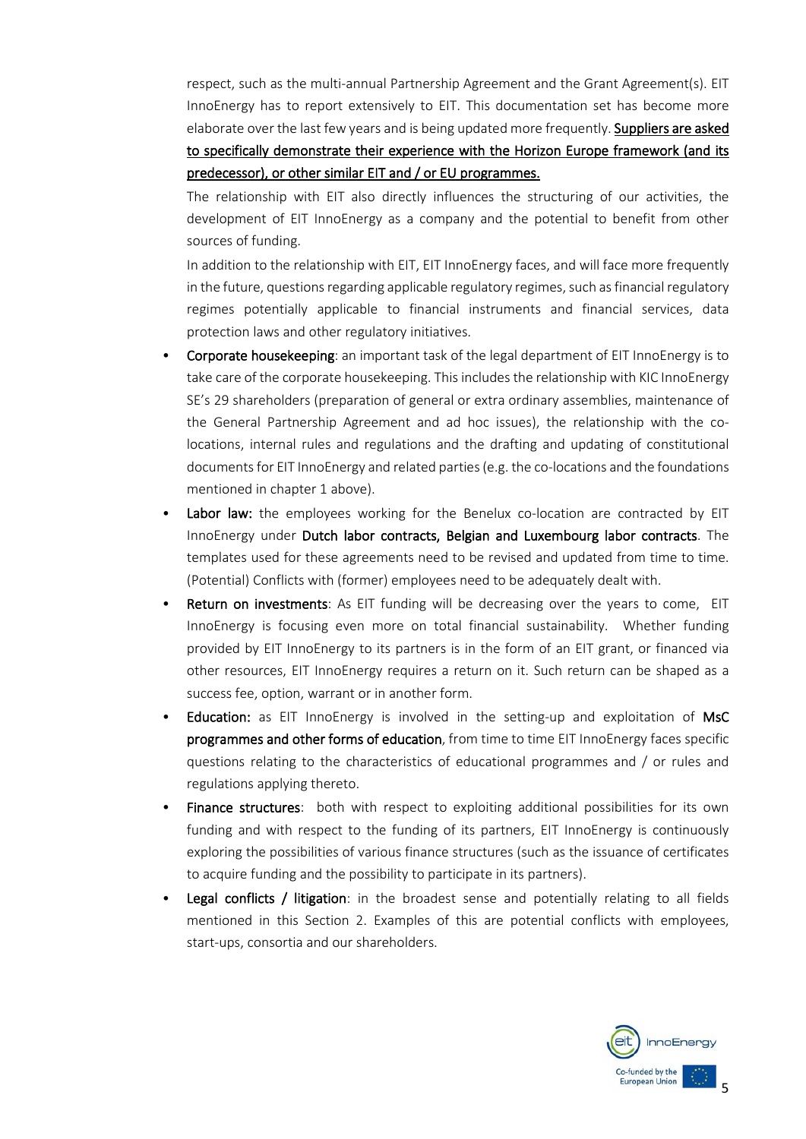respect, such as the multi-annual Partnership Agreement and the Grant Agreement(s). EIT InnoEnergy has to report extensively to EIT. This documentation set has become more elaborate over the last few years and is being updated more frequently. Suppliers are asked to specifically demonstrate their experience with the Horizon Europe framework (and its predecessor), or other similar EIT and / or EU programmes.

The relationship with EIT also directly influences the structuring of our activities, the development of EIT InnoEnergy as a company and the potential to benefit from other sources of funding.

In addition to the relationship with EIT, EIT InnoEnergy faces, and will face more frequently in the future, questions regarding applicable regulatory regimes, such as financial regulatory regimes potentially applicable to financial instruments and financial services, data protection laws and other regulatory initiatives.

- Corporate housekeeping: an important task of the legal department of EIT InnoEnergy is to take care of the corporate housekeeping. This includes the relationship with KIC InnoEnergy SE's 29 shareholders (preparation of general or extra ordinary assemblies, maintenance of the General Partnership Agreement and ad hoc issues), the relationship with the colocations, internal rules and regulations and the drafting and updating of constitutional documents for EIT InnoEnergy and related parties (e.g. the co-locations and the foundations mentioned in chapter 1 above).
- Labor law: the employees working for the Benelux co-location are contracted by EIT InnoEnergy under Dutch labor contracts, Belgian and Luxembourg labor contracts. The templates used for these agreements need to be revised and updated from time to time. (Potential) Conflicts with (former) employees need to be adequately dealt with.
- **Return on investments:** As EIT funding will be decreasing over the years to come, EIT InnoEnergy is focusing even more on total financial sustainability. Whether funding provided by EIT InnoEnergy to its partners is in the form of an EIT grant, or financed via other resources, EIT InnoEnergy requires a return on it. Such return can be shaped as a success fee, option, warrant or in another form.
- Education: as EIT InnoEnergy is involved in the setting-up and exploitation of MsC programmes and other forms of education, from time to time EIT InnoEnergy faces specific questions relating to the characteristics of educational programmes and / or rules and regulations applying thereto.
- Finance structures: both with respect to exploiting additional possibilities for its own funding and with respect to the funding of its partners, EIT InnoEnergy is continuously exploring the possibilities of various finance structures (such as the issuance of certificates to acquire funding and the possibility to participate in its partners).
- **Legal conflicts / litigation**: in the broadest sense and potentially relating to all fields mentioned in this Section 2. Examples of this are potential conflicts with employees, start-ups, consortia and our shareholders.

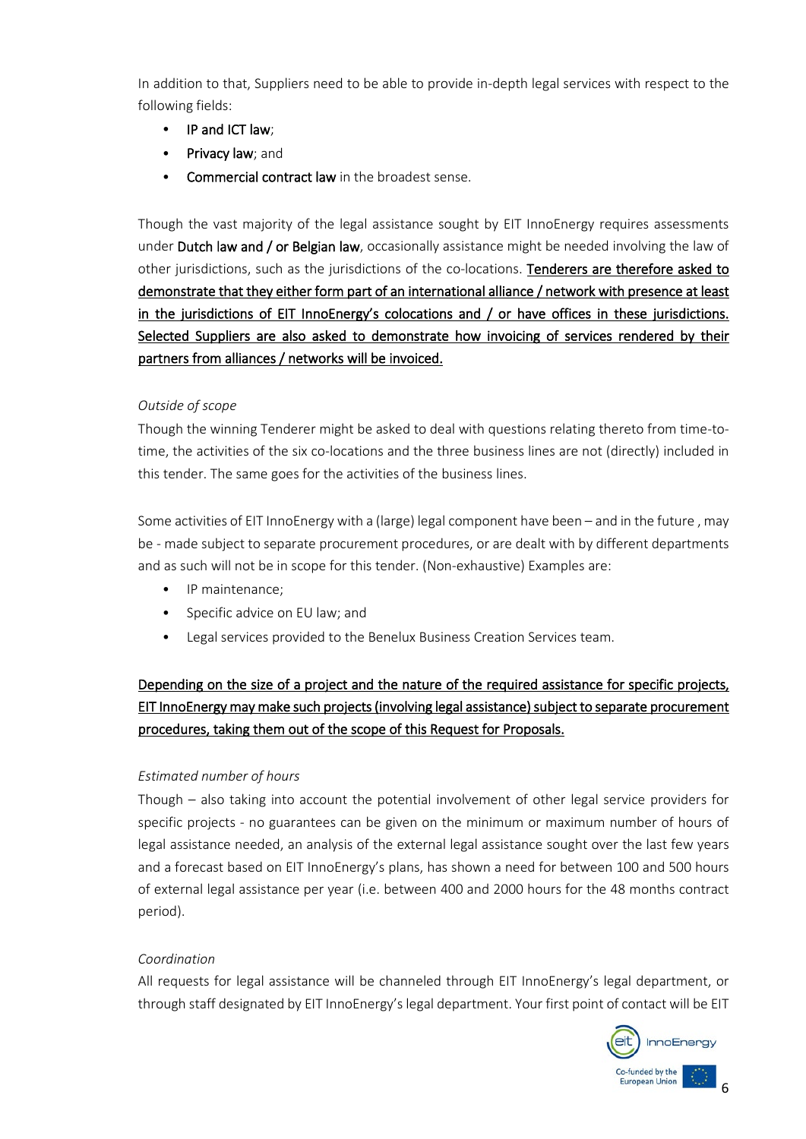In addition to that, Suppliers need to be able to provide in-depth legal services with respect to the following fields:

- IP and ICT law:
- Privacy law; and
- Commercial contract law in the broadest sense.

Though the vast majority of the legal assistance sought by EIT InnoEnergy requires assessments under Dutch law and / or Belgian law, occasionally assistance might be needed involving the law of other jurisdictions, such as the jurisdictions of the co-locations. Tenderers are therefore asked to demonstrate that they either form part of an international alliance / network with presence at least in the jurisdictions of EIT InnoEnergy's colocations and / or have offices in these jurisdictions. Selected Suppliers are also asked to demonstrate how invoicing of services rendered by their partners from alliances / networks will be invoiced.

#### *Outside of scope*

Though the winning Tenderer might be asked to deal with questions relating thereto from time-totime, the activities of the six co-locations and the three business lines are not (directly) included in this tender. The same goes for the activities of the business lines.

Some activities of EIT InnoEnergy with a (large) legal component have been – and in the future , may be - made subject to separate procurement procedures, or are dealt with by different departments and as such will not be in scope for this tender. (Non-exhaustive) Examples are:

- IP maintenance:
- Specific advice on EU law; and
- Legal services provided to the Benelux Business Creation Services team.

# Depending on the size of a project and the nature of the required assistance for specific projects, EIT InnoEnergy may make such projects (involving legal assistance) subject to separate procurement procedures, taking them out of the scope of this Request for Proposals.

## *Estimated number of hours*

Though – also taking into account the potential involvement of other legal service providers for specific projects - no guarantees can be given on the minimum or maximum number of hours of legal assistance needed, an analysis of the external legal assistance sought over the last few years and a forecast based on EIT InnoEnergy's plans, has shown a need for between 100 and 500 hours of external legal assistance per year (i.e. between 400 and 2000 hours for the 48 months contract period).

#### *Coordination*

All requests for legal assistance will be channeled through EIT InnoEnergy's legal department, or through staff designated by EIT InnoEnergy's legal department. Your first point of contact will be EIT

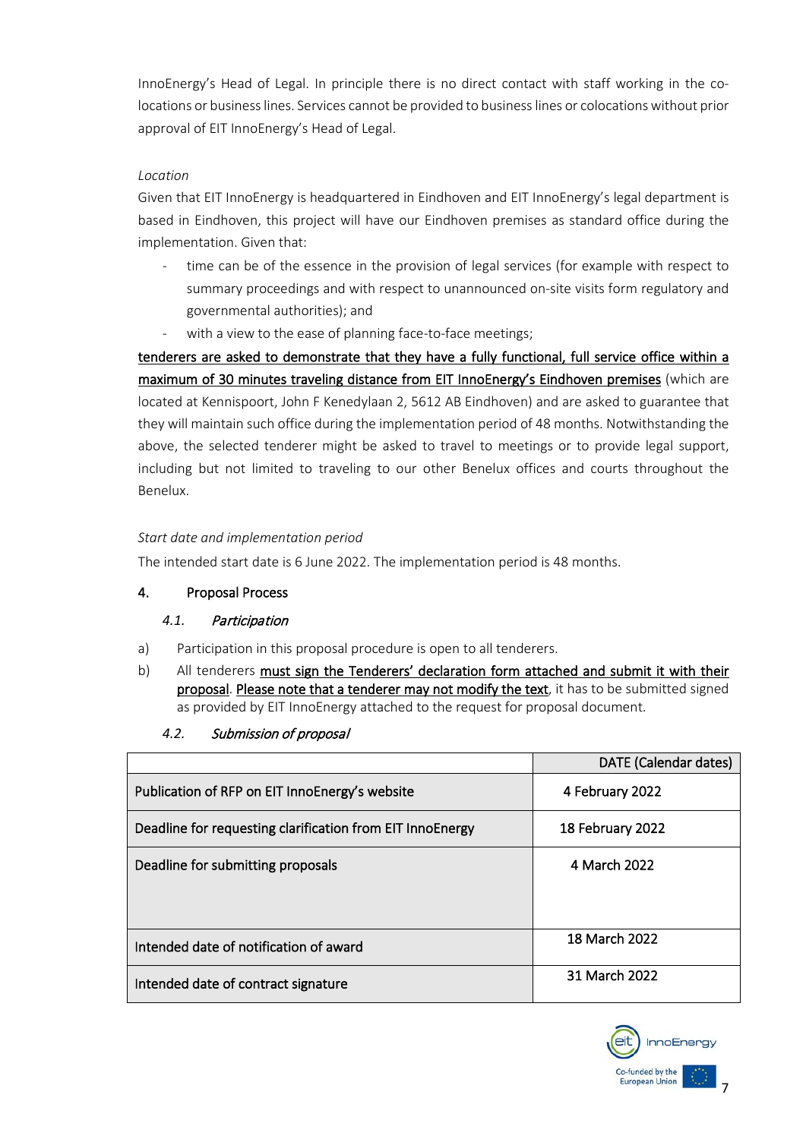InnoEnergy's Head of Legal. In principle there is no direct contact with staff working in the colocations or business lines. Services cannot be provided to business lines or colocations without prior approval of EIT InnoEnergy's Head of Legal.

#### *Location*

Given that EIT InnoEnergy is headquartered in Eindhoven and EIT InnoEnergy's legal department is based in Eindhoven, this project will have our Eindhoven premises as standard office during the implementation. Given that:

- time can be of the essence in the provision of legal services (for example with respect to summary proceedings and with respect to unannounced on-site visits form regulatory and governmental authorities); and
- with a view to the ease of planning face-to-face meetings;

tenderers are asked to demonstrate that they have a fully functional, full service office within a maximum of 30 minutes traveling distance from EIT InnoEnergy's Eindhoven premises (which are located at Kennispoort, John F Kenedylaan 2, 5612 AB Eindhoven) and are asked to guarantee that they will maintain such office during the implementation period of 48 months. Notwithstanding the above, the selected tenderer might be asked to travel to meetings or to provide legal support, including but not limited to traveling to our other Benelux offices and courts throughout the Benelux.

## *Start date and implementation period*

The intended start date is 6 June 2022. The implementation period is 48 months.

## 4. Proposal Process

## <span id="page-6-0"></span>*4.1.* Participation

- a) Participation in this proposal procedure is open to all tenderers.
- b) All tenderers must sign the Tenderers' declaration form attached and submit it with their proposal. Please note that a tenderer may not modify the text, it has to be submitted signed as provided by EIT InnoEnergy attached to the request for proposal document.
	- *4.2.* Submission of proposal

<span id="page-6-1"></span>

|                                                           | <b>DATE</b> (Calendar dates) |  |
|-----------------------------------------------------------|------------------------------|--|
| Publication of RFP on EIT InnoEnergy's website            | 4 February 2022              |  |
| Deadline for requesting clarification from EIT InnoEnergy | 18 February 2022             |  |
| Deadline for submitting proposals                         | 4 March 2022                 |  |
| Intended date of notification of award                    | 18 March 2022                |  |
| Intended date of contract signature                       | 31 March 2022                |  |

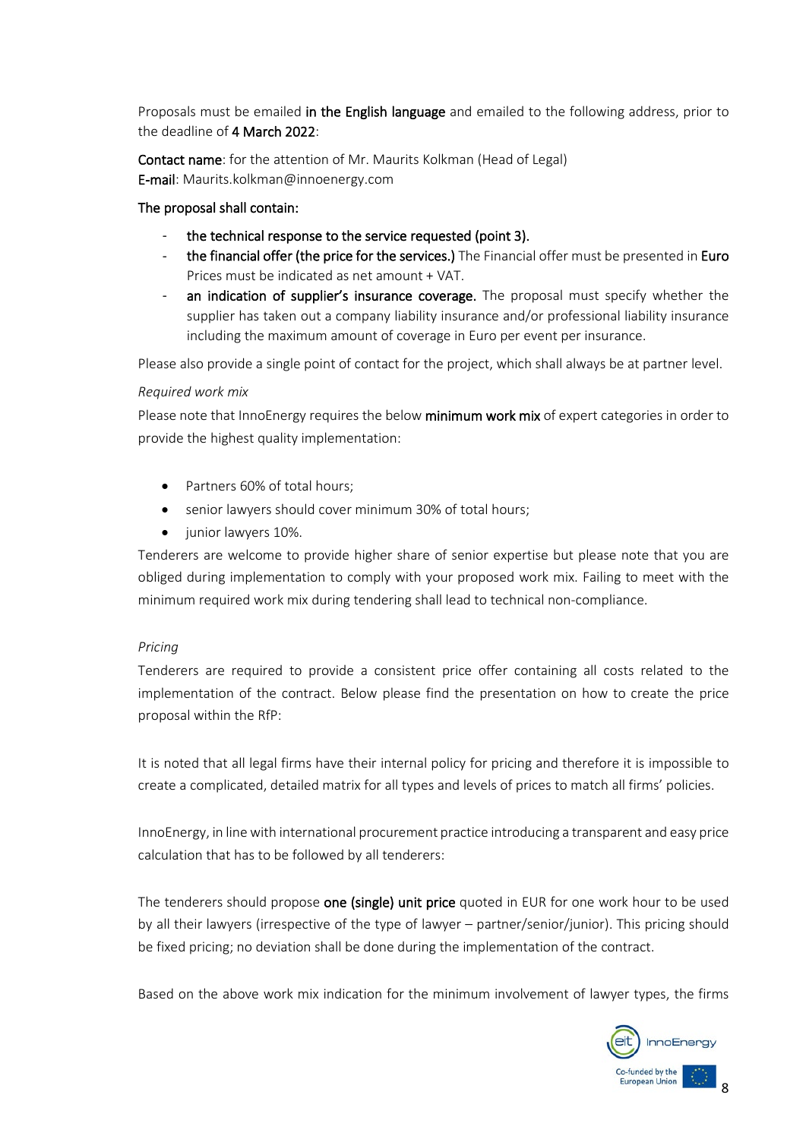Proposals must be emailed in the English language and emailed to the following address, prior to the deadline of 4 March 2022:

Contact name: for the attention of Mr. Maurits Kolkman (Head of Legal) E-mail: Maurits.kolkman@innoenergy.com

#### The proposal shall contain:

- the technical response to the service requested (point 3).
- the financial offer (the price for the services.) The Financial offer must be presented in Euro Prices must be indicated as net amount + VAT.
- an indication of supplier's insurance coverage. The proposal must specify whether the supplier has taken out a company liability insurance and/or professional liability insurance including the maximum amount of coverage in Euro per event per insurance.

Please also provide a single point of contact for the project, which shall always be at partner level.

#### *Required work mix*

Please note that InnoEnergy requires the below minimum work mix of expert categories in order to provide the highest quality implementation:

- Partners 60% of total hours:
- senior lawyers should cover minimum 30% of total hours;
- junior lawyers 10%.

Tenderers are welcome to provide higher share of senior expertise but please note that you are obliged during implementation to comply with your proposed work mix. Failing to meet with the minimum required work mix during tendering shall lead to technical non-compliance.

#### *Pricing*

Tenderers are required to provide a consistent price offer containing all costs related to the implementation of the contract. Below please find the presentation on how to create the price proposal within the RfP:

It is noted that all legal firms have their internal policy for pricing and therefore it is impossible to create a complicated, detailed matrix for all types and levels of prices to match all firms' policies.

InnoEnergy, in line with international procurement practice introducing a transparent and easy price calculation that has to be followed by all tenderers:

The tenderers should propose one (single) unit price quoted in EUR for one work hour to be used by all their lawyers (irrespective of the type of lawyer – partner/senior/junior). This pricing should be fixed pricing; no deviation shall be done during the implementation of the contract.

Based on the above work mix indication for the minimum involvement of lawyer types, the firms

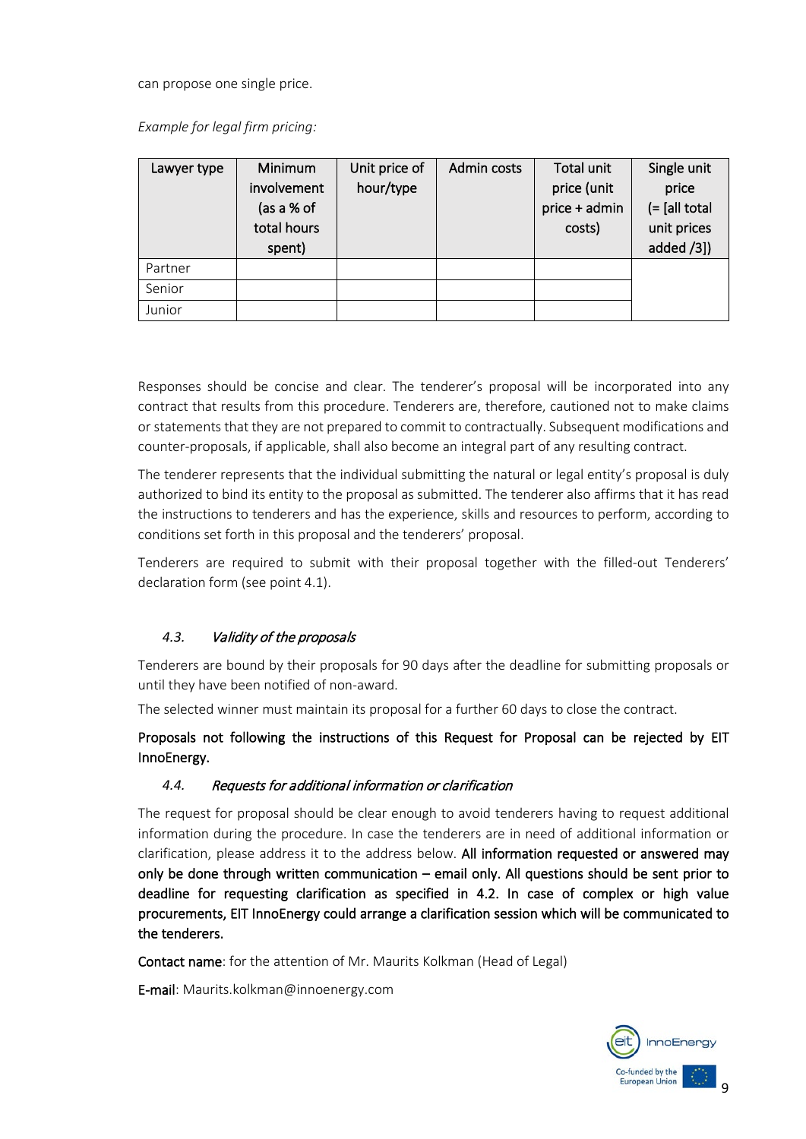can propose one single price.

*Example for legal firm pricing:* 

| Lawyer type | <b>Minimum</b><br>involvement<br>(as a % of<br>total hours<br>spent) | Unit price of<br>hour/type | Admin costs | Total unit<br>price (unit<br>price + admin<br>costs) | Single unit<br>price<br>$(=$ [all total]<br>unit prices<br>added /3]) |
|-------------|----------------------------------------------------------------------|----------------------------|-------------|------------------------------------------------------|-----------------------------------------------------------------------|
| Partner     |                                                                      |                            |             |                                                      |                                                                       |
| Senior      |                                                                      |                            |             |                                                      |                                                                       |
| Junior      |                                                                      |                            |             |                                                      |                                                                       |

Responses should be concise and clear. The tenderer's proposal will be incorporated into any contract that results from this procedure. Tenderers are, therefore, cautioned not to make claims or statements that they are not prepared to commit to contractually. Subsequent modifications and counter-proposals, if applicable, shall also become an integral part of any resulting contract.

The tenderer represents that the individual submitting the natural or legal entity's proposal is duly authorized to bind its entity to the proposal as submitted. The tenderer also affirms that it has read the instructions to tenderers and has the experience, skills and resources to perform, according to conditions set forth in this proposal and the tenderers' proposal.

Tenderers are required to submit with their proposal together with the filled-out Tenderers' declaration form (see point 4.1).

## <span id="page-8-0"></span>*4.3.* Validity of the proposals

Tenderers are bound by their proposals for 90 days after the deadline for submitting proposals or until they have been notified of non-award.

The selected winner must maintain its proposal for a further 60 days to close the contract.

Proposals not following the instructions of this Request for Proposal can be rejected by EIT InnoEnergy.

#### <span id="page-8-1"></span>*4.4.* Requests for additional information or clarification

The request for proposal should be clear enough to avoid tenderers having to request additional information during the procedure. In case the tenderers are in need of additional information or clarification, please address it to the address below. All information requested or answered may only be done through written communication – email only. All questions should be sent prior to deadline for requesting clarification as specified in 4.2. In case of complex or high value procurements, EIT InnoEnergy could arrange a clarification session which will be communicated to the tenderers.

Contact name: for the attention of Mr. Maurits Kolkman (Head of Legal)

E-mail: Maurits.kolkman@innoenergy.com

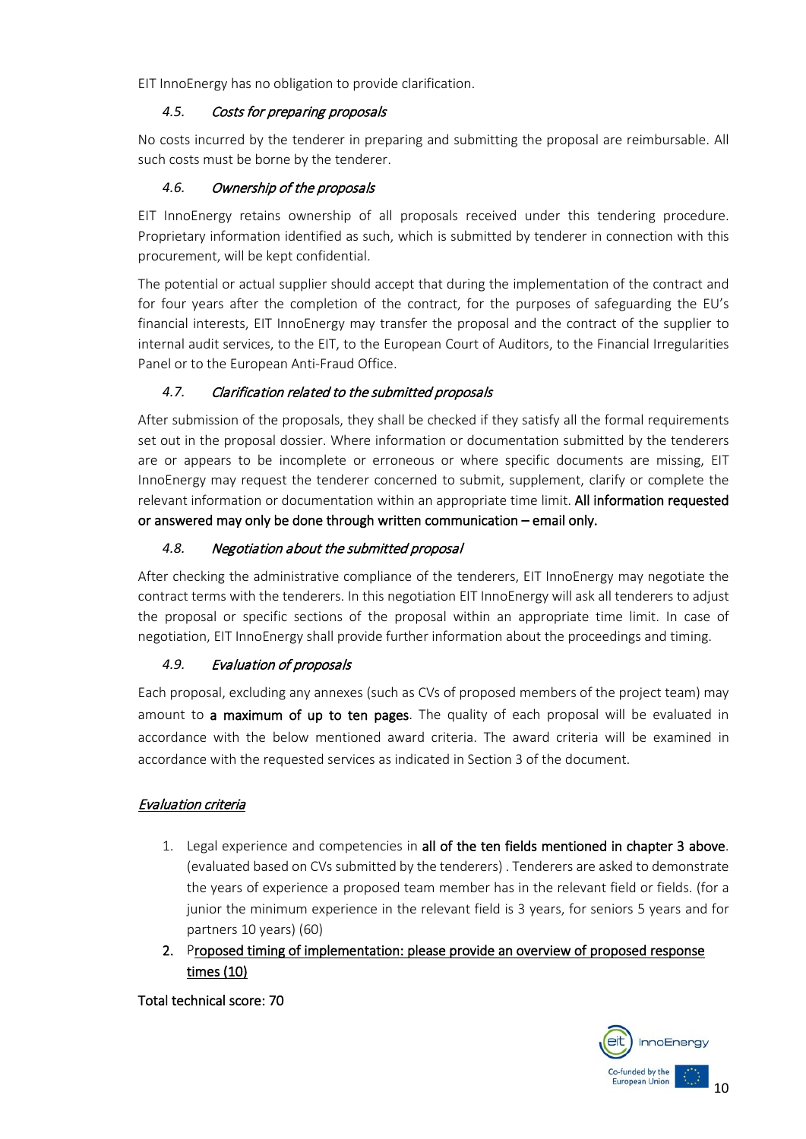EIT InnoEnergy has no obligation to provide clarification.

## <span id="page-9-0"></span>*4.5.* Costs for preparing proposals

No costs incurred by the tenderer in preparing and submitting the proposal are reimbursable. All such costs must be borne by the tenderer.

## <span id="page-9-1"></span>*4.6.* Ownership of the proposals

EIT InnoEnergy retains ownership of all proposals received under this tendering procedure. Proprietary information identified as such, which is submitted by tenderer in connection with this procurement, will be kept confidential.

The potential or actual supplier should accept that during the implementation of the contract and for four years after the completion of the contract, for the purposes of safeguarding the EU's financial interests, EIT InnoEnergy may transfer the proposal and the contract of the supplier to internal audit services, to the EIT, to the European Court of Auditors, to the Financial Irregularities Panel or to the European Anti-Fraud Office.

# <span id="page-9-2"></span>*4.7.* Clarification related to the submitted proposals

After submission of the proposals, they shall be checked if they satisfy all the formal requirements set out in the proposal dossier. Where information or documentation submitted by the tenderers are or appears to be incomplete or erroneous or where specific documents are missing, EIT InnoEnergy may request the tenderer concerned to submit, supplement, clarify or complete the relevant information or documentation within an appropriate time limit. All information requested or answered may only be done through written communication – email only.

## <span id="page-9-3"></span>*4.8.* Negotiation about the submitted proposal

After checking the administrative compliance of the tenderers, EIT InnoEnergy may negotiate the contract terms with the tenderers. In this negotiation EIT InnoEnergy will ask all tenderers to adjust the proposal or specific sections of the proposal within an appropriate time limit. In case of negotiation, EIT InnoEnergy shall provide further information about the proceedings and timing.

## <span id="page-9-4"></span>*4.9.* Evaluation of proposals

Each proposal, excluding any annexes (such as CVs of proposed members of the project team) may amount to a maximum of up to ten pages. The quality of each proposal will be evaluated in accordance with the below mentioned award criteria. The award criteria will be examined in accordance with the requested services as indicated in Section 3 of the document.

# Evaluation criteria

- 1. Legal experience and competencies in all of the ten fields mentioned in chapter 3 above. (evaluated based on CVs submitted by the tenderers) . Tenderers are asked to demonstrate the years of experience a proposed team member has in the relevant field or fields. (for a junior the minimum experience in the relevant field is 3 years, for seniors 5 years and for partners 10 years) (60)
- 2. Proposed timing of implementation: please provide an overview of proposed response times (10)

Total technical score: 70

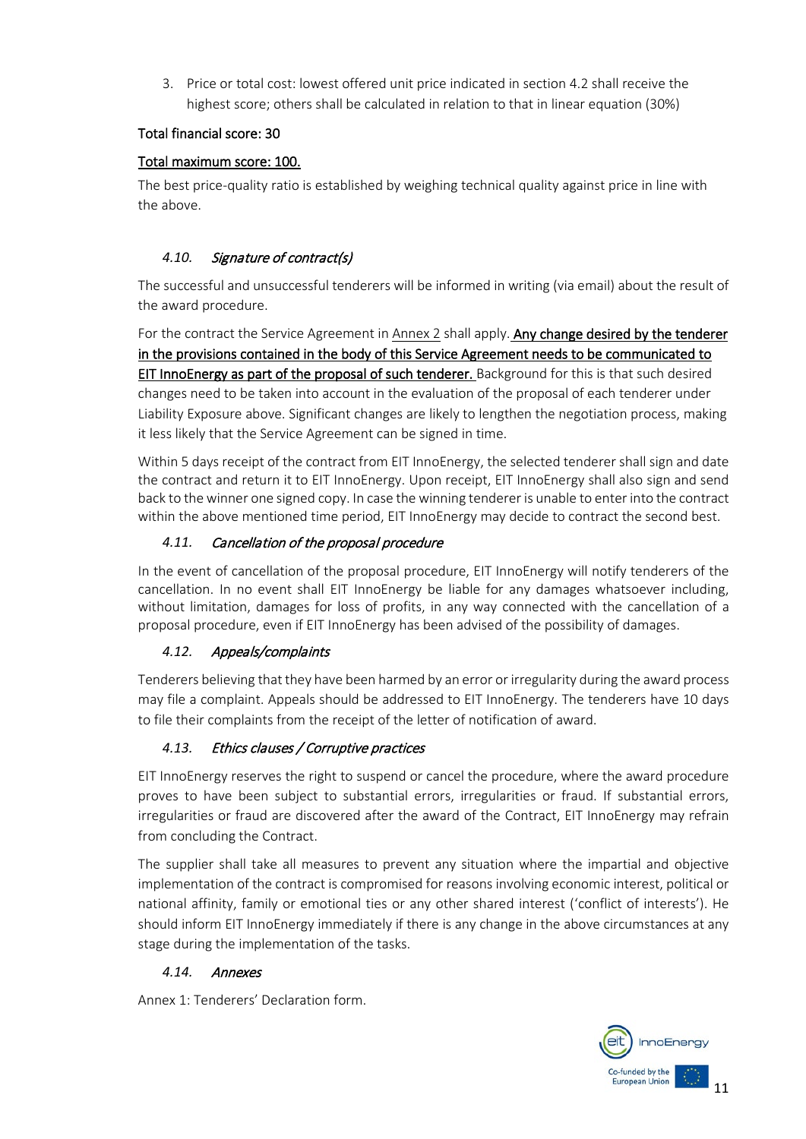3. Price or total cost: lowest offered unit price indicated in section 4.2 shall receive the highest score; others shall be calculated in relation to that in linear equation (30%)

## Total financial score: 30

## Total maximum score: 100.

The best price-quality ratio is established by weighing technical quality against price in line with the above.

## <span id="page-10-0"></span>*4.10.* Signature of contract(s)

The successful and unsuccessful tenderers will be informed in writing (via email) about the result of the award procedure.

For the contract the Service Agreement in Annex 2 shall apply. Any change desired by the tenderer in the provisions contained in the body of this Service Agreement needs to be communicated to EIT InnoEnergy as part of the proposal of such tenderer. Background for this is that such desired changes need to be taken into account in the evaluation of the proposal of each tenderer under Liability Exposure above. Significant changes are likely to lengthen the negotiation process, making it less likely that the Service Agreement can be signed in time.

Within 5 days receipt of the contract from EIT InnoEnergy, the selected tenderer shall sign and date the contract and return it to EIT InnoEnergy. Upon receipt, EIT InnoEnergy shall also sign and send back to the winner one signed copy. In case the winning tenderer is unable to enter into the contract within the above mentioned time period, EIT InnoEnergy may decide to contract the second best.

# <span id="page-10-1"></span>*4.11.* Cancellation of the proposal procedure

In the event of cancellation of the proposal procedure, EIT InnoEnergy will notify tenderers of the cancellation. In no event shall EIT InnoEnergy be liable for any damages whatsoever including, without limitation, damages for loss of profits, in any way connected with the cancellation of a proposal procedure, even if EIT InnoEnergy has been advised of the possibility of damages.

# <span id="page-10-2"></span>*4.12.* Appeals/complaints

Tenderers believing that they have been harmed by an error or irregularity during the award process may file a complaint. Appeals should be addressed to EIT InnoEnergy. The tenderers have 10 days to file their complaints from the receipt of the letter of notification of award.

# <span id="page-10-3"></span>*4.13.* Ethics clauses / Corruptive practices

EIT InnoEnergy reserves the right to suspend or cancel the procedure, where the award procedure proves to have been subject to substantial errors, irregularities or fraud. If substantial errors, irregularities or fraud are discovered after the award of the Contract, EIT InnoEnergy may refrain from concluding the Contract.

The supplier shall take all measures to prevent any situation where the impartial and objective implementation of the contract is compromised for reasons involving economic interest, political or national affinity, family or emotional ties or any other shared interest ('conflict of interests'). He should inform EIT InnoEnergy immediately if there is any change in the above circumstances at any stage during the implementation of the tasks.

## <span id="page-10-4"></span>*4.14.* Annexes

Annex 1: Tenderers' Declaration form.